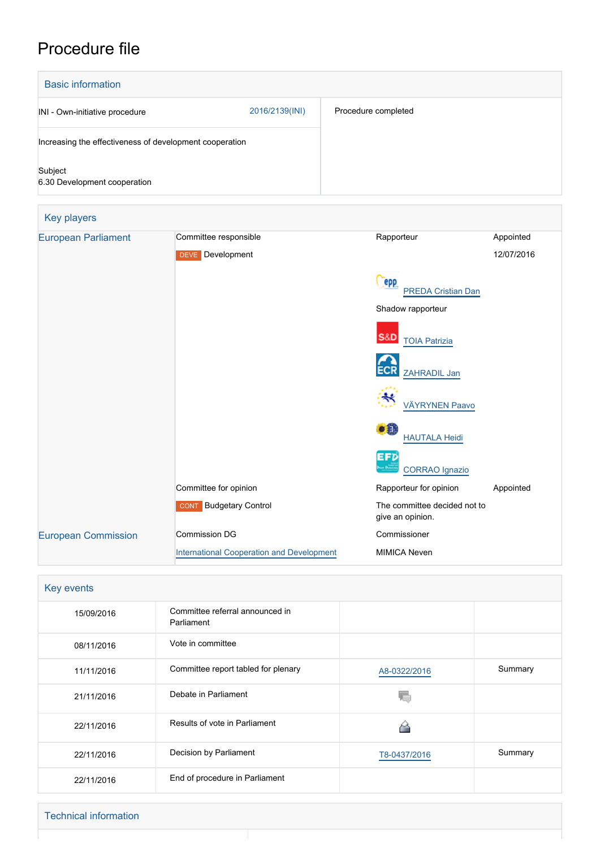## Procedure file

| <b>Basic information</b>                                |                                                  |                                                  |            |
|---------------------------------------------------------|--------------------------------------------------|--------------------------------------------------|------------|
| INI - Own-initiative procedure                          | 2016/2139(INI)                                   | Procedure completed                              |            |
| Increasing the effectiveness of development cooperation |                                                  |                                                  |            |
| Subject<br>6.30 Development cooperation                 |                                                  |                                                  |            |
| Key players                                             |                                                  |                                                  |            |
| <b>European Parliament</b>                              | Committee responsible                            | Rapporteur                                       | Appointed  |
|                                                         | <b>DEVE</b> Development                          |                                                  | 12/07/2016 |
|                                                         |                                                  | epp<br><b>PREDA Cristian Dan</b>                 |            |
|                                                         |                                                  | Shadow rapporteur                                |            |
|                                                         |                                                  | <b>S&amp;D</b><br><b>TOIA Patrizia</b>           |            |
|                                                         |                                                  | ZAHRADIL Jan                                     |            |
|                                                         |                                                  | <b>VÄYRYNEN Paavo</b>                            |            |
|                                                         |                                                  | II.<br><b>HAUTALA Heidi</b>                      |            |
|                                                         |                                                  | <b>CORRAO</b> Ignazio                            |            |
|                                                         | Committee for opinion                            | Rapporteur for opinion                           | Appointed  |
|                                                         | <b>CONT</b> Budgetary Control                    | The committee decided not to<br>give an opinion. |            |
| <b>European Commission</b>                              | <b>Commission DG</b>                             | Commissioner                                     |            |
|                                                         | <b>International Cooperation and Development</b> | <b>MIMICA Neven</b>                              |            |

| Key events |                                               |              |         |  |  |
|------------|-----------------------------------------------|--------------|---------|--|--|
| 15/09/2016 | Committee referral announced in<br>Parliament |              |         |  |  |
| 08/11/2016 | Vote in committee                             |              |         |  |  |
| 11/11/2016 | Committee report tabled for plenary           | A8-0322/2016 | Summary |  |  |
| 21/11/2016 | Debate in Parliament                          |              |         |  |  |
| 22/11/2016 | Results of vote in Parliament                 | ∼            |         |  |  |
| 22/11/2016 | Decision by Parliament                        | T8-0437/2016 | Summary |  |  |
| 22/11/2016 | End of procedure in Parliament                |              |         |  |  |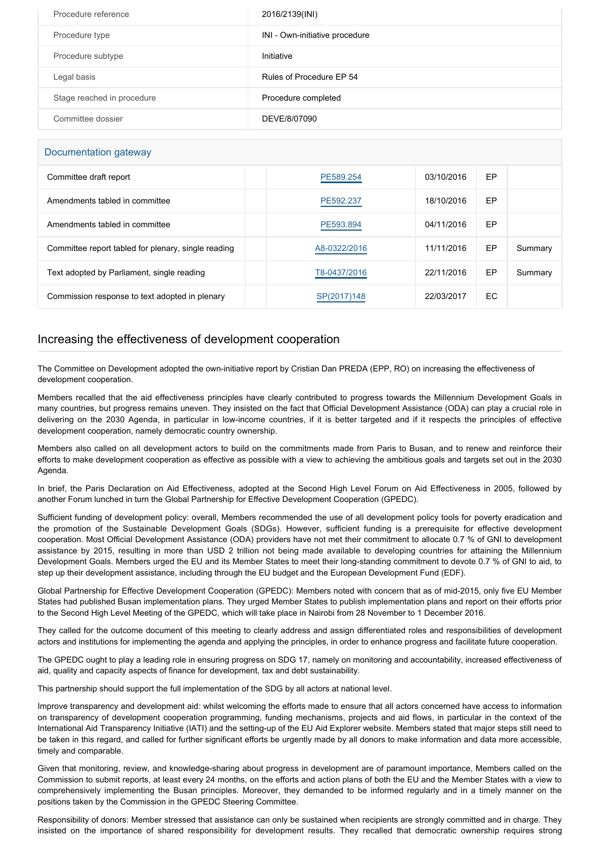| Procedure reference        | 2016/2139(INI)                 |
|----------------------------|--------------------------------|
| Procedure type             | INI - Own-initiative procedure |
| Procedure subtype          | Initiative                     |
| Legal basis                | Rules of Procedure EP 54       |
| Stage reached in procedure | Procedure completed            |
| Committee dossier          | DEVE/8/07090                   |

## Documentation gateway

| Committee draft report                              | PE589.254    | 03/10/2016 | EP  |         |  |
|-----------------------------------------------------|--------------|------------|-----|---------|--|
| Amendments tabled in committee                      | PE592.237    | 18/10/2016 | EP  |         |  |
| Amendments tabled in committee                      | PE593.894    | 04/11/2016 | EP  |         |  |
| Committee report tabled for plenary, single reading | A8-0322/2016 | 11/11/2016 | EP  | Summary |  |
| Text adopted by Parliament, single reading          | T8-0437/2016 | 22/11/2016 | EP  | Summary |  |
| Commission response to text adopted in plenary      | SP(2017)148  | 22/03/2017 | EC. |         |  |

## Increasing the effectiveness of development cooperation

The Committee on Development adopted the own-initiative report by Cristian Dan PREDA (EPP, RO) on increasing the effectiveness of development cooperation.

Members recalled that the aid effectiveness principles have clearly contributed to progress towards the Millennium Development Goals in many countries, but progress remains uneven. They insisted on the fact that Official Development Assistance (ODA) can play a crucial role in delivering on the 2030 Agenda, in particular in low-income countries, if it is better targeted and if it respects the principles of effective development cooperation, namely democratic country ownership.

Members also called on all development actors to build on the commitments made from Paris to Busan, and to renew and reinforce their efforts to make development cooperation as effective as possible with a view to achieving the ambitious goals and targets set out in the 2030 Agenda.

In brief, the Paris Declaration on Aid Effectiveness, adopted at the Second High Level Forum on Aid Effectiveness in 2005, followed by another Forum lunched in turn the Global Partnership for Effective Development Cooperation (GPEDC).

Sufficient funding of development policy: overall, Members recommended the use of all development policy tools for poverty eradication and the promotion of the Sustainable Development Goals (SDGs). However, sufficient funding is a prerequisite for effective development cooperation. Most Official Development Assistance (ODA) providers have not met their commitment to allocate 0.7 % of GNI to development assistance by 2015, resulting in more than USD 2 trillion not being made available to developing countries for attaining the Millennium Development Goals. Members urged the EU and its Member States to meet their long-standing commitment to devote 0.7 % of GNI to aid, to step up their development assistance, including through the EU budget and the European Development Fund (EDF).

Global Partnership for Effective Development Cooperation (GPEDC): Members noted with concern that as of mid-2015, only five EU Member States had published Busan implementation plans. They urged Member States to publish implementation plans and report on their efforts prior to the Second High Level Meeting of the GPEDC, which will take place in Nairobi from 28 November to 1 December 2016.

They called for the outcome document of this meeting to clearly address and assign differentiated roles and responsibilities of development actors and institutions for implementing the agenda and applying the principles, in order to enhance progress and facilitate future cooperation.

The GPEDC ought to play a leading role in ensuring progress on SDG 17, namely on monitoring and accountability, increased effectiveness of aid, quality and capacity aspects of finance for development, tax and debt sustainability.

This partnership should support the full implementation of the SDG by all actors at national level.

Improve transparency and development aid: whilst welcoming the efforts made to ensure that all actors concerned have access to information on transparency of development cooperation programming, funding mechanisms, projects and aid flows, in particular in the context of the International Aid Transparency Initiative (IATI) and the setting-up of the EU Aid Explorer website. Members stated that major steps still need to be taken in this regard, and called for further significant efforts be urgently made by all donors to make information and data more accessible, timely and comparable.

Given that monitoring, review, and knowledge-sharing about progress in development are of paramount importance, Members called on the Commission to submit reports, at least every 24 months, on the efforts and action plans of both the EU and the Member States with a view to comprehensively implementing the Busan principles. Moreover, they demanded to be informed regularly and in a timely manner on the positions taken by the Commission in the GPEDC Steering Committee.

Responsibility of donors: Member stressed that assistance can only be sustained when recipients are strongly committed and in charge. They insisted on the importance of shared responsibility for development results. They recalled that democratic ownership requires strong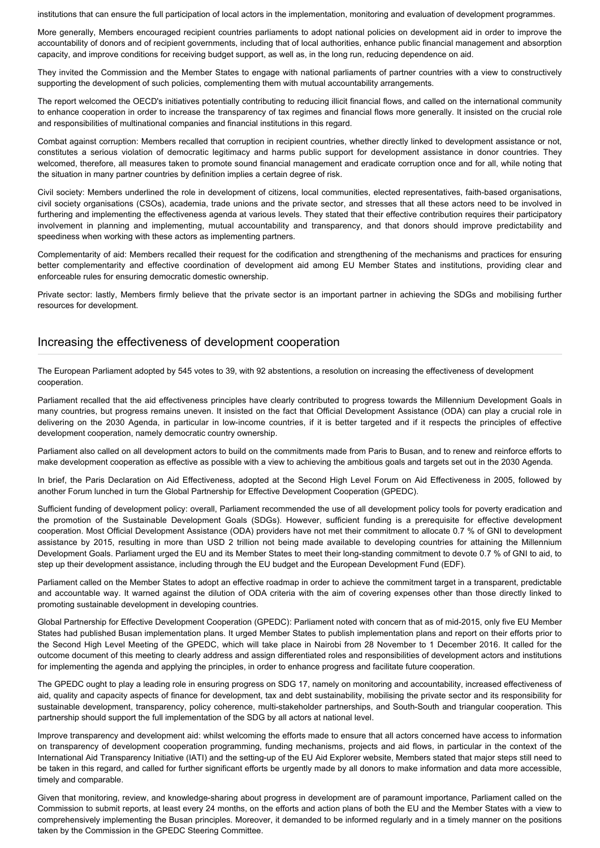institutions that can ensure the full participation of local actors in the implementation, monitoring and evaluation of development programmes.

More generally, Members encouraged recipient countries parliaments to adopt national policies on development aid in order to improve the accountability of donors and of recipient governments, including that of local authorities, enhance public financial management and absorption capacity, and improve conditions for receiving budget support, as well as, in the long run, reducing dependence on aid.

They invited the Commission and the Member States to engage with national parliaments of partner countries with a view to constructively supporting the development of such policies, complementing them with mutual accountability arrangements.

The report welcomed the OECD's initiatives potentially contributing to reducing illicit financial flows, and called on the international community to enhance cooperation in order to increase the transparency of tax regimes and financial flows more generally. It insisted on the crucial role and responsibilities of multinational companies and financial institutions in this regard.

Combat against corruption: Members recalled that corruption in recipient countries, whether directly linked to development assistance or not, constitutes a serious violation of democratic legitimacy and harms public support for development assistance in donor countries. They welcomed, therefore, all measures taken to promote sound financial management and eradicate corruption once and for all, while noting that the situation in many partner countries by definition implies a certain degree of risk.

Civil society: Members underlined the role in development of citizens, local communities, elected representatives, faith-based organisations, civil society organisations (CSOs), academia, trade unions and the private sector, and stresses that all these actors need to be involved in furthering and implementing the effectiveness agenda at various levels. They stated that their effective contribution requires their participatory involvement in planning and implementing, mutual accountability and transparency, and that donors should improve predictability and speediness when working with these actors as implementing partners.

Complementarity of aid: Members recalled their request for the codification and strengthening of the mechanisms and practices for ensuring better complementarity and effective coordination of development aid among EU Member States and institutions, providing clear and enforceable rules for ensuring democratic domestic ownership.

Private sector: lastly, Members firmly believe that the private sector is an important partner in achieving the SDGs and mobilising further resources for development.

## Increasing the effectiveness of development cooperation

The European Parliament adopted by 545 votes to 39, with 92 abstentions, a resolution on increasing the effectiveness of development cooperation.

Parliament recalled that the aid effectiveness principles have clearly contributed to progress towards the Millennium Development Goals in many countries, but progress remains uneven. It insisted on the fact that Official Development Assistance (ODA) can play a crucial role in delivering on the 2030 Agenda, in particular in low-income countries, if it is better targeted and if it respects the principles of effective development cooperation, namely democratic country ownership.

Parliament also called on all development actors to build on the commitments made from Paris to Busan, and to renew and reinforce efforts to make development cooperation as effective as possible with a view to achieving the ambitious goals and targets set out in the 2030 Agenda.

In brief, the Paris Declaration on Aid Effectiveness, adopted at the Second High Level Forum on Aid Effectiveness in 2005, followed by another Forum lunched in turn the Global Partnership for Effective Development Cooperation (GPEDC).

Sufficient funding of development policy: overall, Parliament recommended the use of all development policy tools for poverty eradication and the promotion of the Sustainable Development Goals (SDGs). However, sufficient funding is a prerequisite for effective development cooperation. Most Official Development Assistance (ODA) providers have not met their commitment to allocate 0.7 % of GNI to development assistance by 2015, resulting in more than USD 2 trillion not being made available to developing countries for attaining the Millennium Development Goals. Parliament urged the EU and its Member States to meet their long-standing commitment to devote 0.7 % of GNI to aid, to step up their development assistance, including through the EU budget and the European Development Fund (EDF).

Parliament called on the Member States to adopt an effective roadmap in order to achieve the commitment target in a transparent, predictable and accountable way. It warned against the dilution of ODA criteria with the aim of covering expenses other than those directly linked to promoting sustainable development in developing countries.

Global Partnership for Effective Development Cooperation (GPEDC): Parliament noted with concern that as of mid-2015, only five EU Member States had published Busan implementation plans. It urged Member States to publish implementation plans and report on their efforts prior to the Second High Level Meeting of the GPEDC, which will take place in Nairobi from 28 November to 1 December 2016. It called for the outcome document of this meeting to clearly address and assign differentiated roles and responsibilities of development actors and institutions for implementing the agenda and applying the principles, in order to enhance progress and facilitate future cooperation.

The GPEDC ought to play a leading role in ensuring progress on SDG 17, namely on monitoring and accountability, increased effectiveness of aid, quality and capacity aspects of finance for development, tax and debt sustainability, mobilising the private sector and its responsibility for sustainable development, transparency, policy coherence, multi-stakeholder partnerships, and South-South and triangular cooperation. This partnership should support the full implementation of the SDG by all actors at national level.

Improve transparency and development aid: whilst welcoming the efforts made to ensure that all actors concerned have access to information on transparency of development cooperation programming, funding mechanisms, projects and aid flows, in particular in the context of the International Aid Transparency Initiative (IATI) and the setting-up of the EU Aid Explorer website, Members stated that major steps still need to be taken in this regard, and called for further significant efforts be urgently made by all donors to make information and data more accessible, timely and comparable.

Given that monitoring, review, and knowledge-sharing about progress in development are of paramount importance, Parliament called on the Commission to submit reports, at least every 24 months, on the efforts and action plans of both the EU and the Member States with a view to comprehensively implementing the Busan principles. Moreover, it demanded to be informed regularly and in a timely manner on the positions taken by the Commission in the GPEDC Steering Committee.